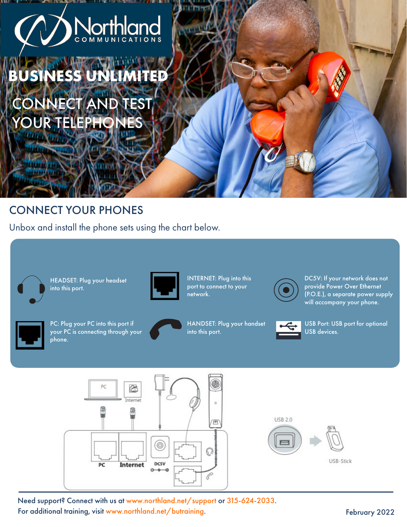# Northk COMMUNI

**BUSINESS UNLIMIT** 

CONNECT AND TEST YOUR TELEPHONES

### CONNECT YOUR PHONES

Unbox and install the phone sets using the chart below.



HEADSET: Plug your headset into this port.



INTERNET: Plug into this port to connect to your network.



DC5V: If your network does not provide Power Over Ethernet (P.O.E.), a separate power supply will accompany your phone.



PC: Plug your PC into this port if your PC is connecting through your phone.



HANDSET: Plug your handset into this port.



USB Port: USB port for optional USB devices.



Need support? Connect with us at www.northland.net/support or 315-624-2033. For additional training, visit www.northland.net/butraining.